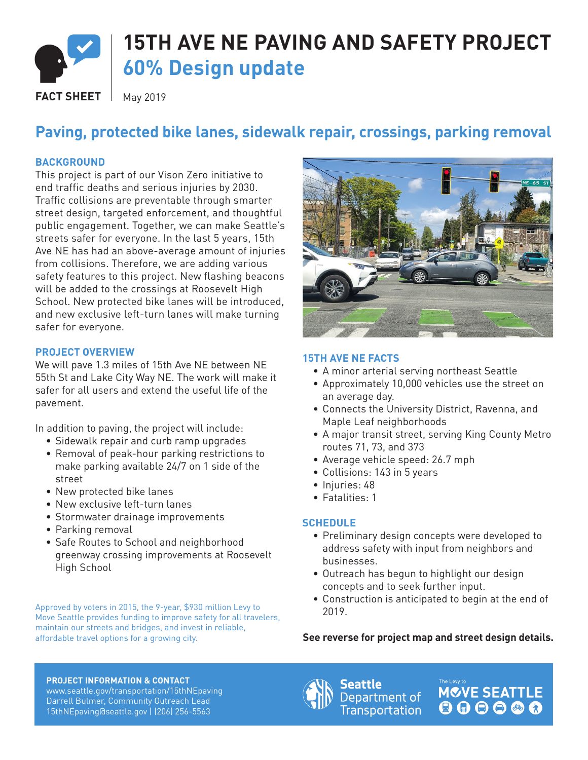

# **15TH AVE NE PAVING AND SAFETY PROJECT 60% Design update**

**FACT SHEET**  $\parallel$  May 2019

## **Paving, protected bike lanes, sidewalk repair, crossings, parking removal**

### **BACKGROUND**

This project is part of our Vison Zero initiative to end traffic deaths and serious injuries by 2030. Traffic collisions are preventable through smarter street design, targeted enforcement, and thoughtful public engagement. Together, we can make Seattle's streets safer for everyone. In the last 5 years, 15th Ave NE has had an above-average amount of injuries from collisions. Therefore, we are adding various safety features to this project. New flashing beacons will be added to the crossings at Roosevelt High School. New protected bike lanes will be introduced, and new exclusive left-turn lanes will make turning safer for everyone.

### **PROJECT OVERVIEW**

We will pave 1.3 miles of 15th Ave NE between NE 55th St and Lake City Way NE. The work will make it safer for all users and extend the useful life of the pavement.

In addition to paving, the project will include:

- Sidewalk repair and curb ramp upgrades
- Removal of peak-hour parking restrictions to make parking available 24/7 on 1 side of the street
- New protected bike lanes
- New exclusive left-turn lanes
- Stormwater drainage improvements
- Parking removal
- Safe Routes to School and neighborhood greenway crossing improvements at Roosevelt High School

Approved by voters in 2015, the 9-year, \$930 million Levy to Move Seattle provides funding to improve safety for all travelers, maintain our streets and bridges, and invest in reliable,



### **15TH AVE NE FACTS**

- A minor arterial serving northeast Seattle
- Approximately 10,000 vehicles use the street on an average day.
- Connects the University District, Ravenna, and Maple Leaf neighborhoods
- A major transit street, serving King County Metro routes 71, 73, and 373
- Average vehicle speed: 26.7 mph
- Collisions: 143 in 5 years
- Injuries: 48
- Fatalities: 1

### **SCHEDULE**

- Preliminary design concepts were developed to address safety with input from neighbors and businesses.
- Outreach has begun to highlight our design concepts and to seek further input.
- Construction is anticipated to begin at the end of 2019.

### affordable travel options for a growing city. **See reverse for project map and street design details.**

**PROJECT INFORMATION & CONTACT**

www.seattle.gov/transportation/15thNEpaving Darrell Bulmer, Community Outreach Lead 15thNEpaving@seattle.gov | (206) 256-5563



Seattle Department of **Transportation**  **MCVE SEATTLE** 000000